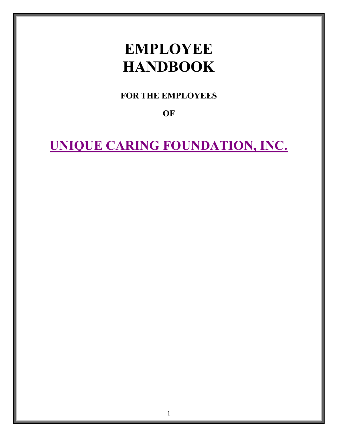# EMPLOYEE **HANDBOOK**

FOR THE EMPLOYEES

**OF** 

UNIQUE CARING FOUNDATION, INC.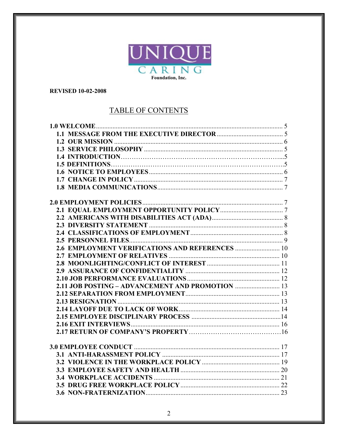

#### **REVISED 10-02-2008**

# TABLE OF CONTENTS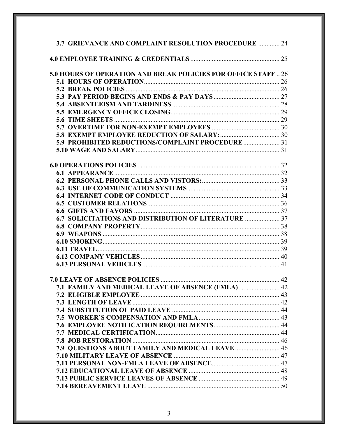| 3.7 GRIEVANCE AND COMPLAINT RESOLUTION PROCEDURE  24          |  |
|---------------------------------------------------------------|--|
|                                                               |  |
| 5.0 HOURS OF OPERATION AND BREAK POLICIES FOR OFFICE STAFF 26 |  |
|                                                               |  |
|                                                               |  |
|                                                               |  |
|                                                               |  |
|                                                               |  |
|                                                               |  |
|                                                               |  |
|                                                               |  |
| 5.9 PROHIBITED REDUCTIONS/COMPLAINT PROCEDURE  31             |  |
|                                                               |  |
|                                                               |  |
|                                                               |  |
|                                                               |  |
|                                                               |  |
|                                                               |  |
|                                                               |  |
|                                                               |  |
|                                                               |  |
| 6.7 SOLICITATIONS AND DISTRIBUTION OF LITERATURE  37          |  |
|                                                               |  |
|                                                               |  |
|                                                               |  |
|                                                               |  |
|                                                               |  |
|                                                               |  |
|                                                               |  |
|                                                               |  |
| 7.1 FAMILY AND MEDICAL LEAVE OF ABSENCE (FMLA) 42             |  |
|                                                               |  |
|                                                               |  |
|                                                               |  |
|                                                               |  |
|                                                               |  |
|                                                               |  |
|                                                               |  |
| 7.9 QUESTIONS ABOUT FAMILY AND MEDICAL LEAVE  46              |  |
|                                                               |  |
|                                                               |  |
|                                                               |  |
|                                                               |  |
|                                                               |  |
|                                                               |  |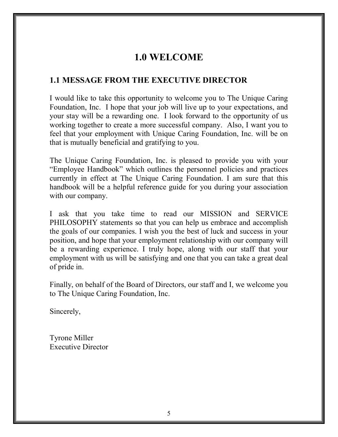# 1.0 WELCOME

#### 1.1 MESSAGE FROM THE EXECUTIVE DIRECTOR

I would like to take this opportunity to welcome you to The Unique Caring Foundation, Inc. I hope that your job will live up to your expectations, and your stay will be a rewarding one. I look forward to the opportunity of us working together to create a more successful company. Also, I want you to feel that your employment with Unique Caring Foundation, Inc. will be on that is mutually beneficial and gratifying to you.

The Unique Caring Foundation, Inc. is pleased to provide you with your "Employee Handbook" which outlines the personnel policies and practices currently in effect at The Unique Caring Foundation. I am sure that this handbook will be a helpful reference guide for you during your association with our company.

I ask that you take time to read our MISSION and SERVICE PHILOSOPHY statements so that you can help us embrace and accomplish the goals of our companies. I wish you the best of luck and success in your position, and hope that your employment relationship with our company will be a rewarding experience. I truly hope, along with our staff that your employment with us will be satisfying and one that you can take a great deal of pride in.

Finally, on behalf of the Board of Directors, our staff and I, we welcome you to The Unique Caring Foundation, Inc.

Sincerely,

Tyrone Miller Executive Director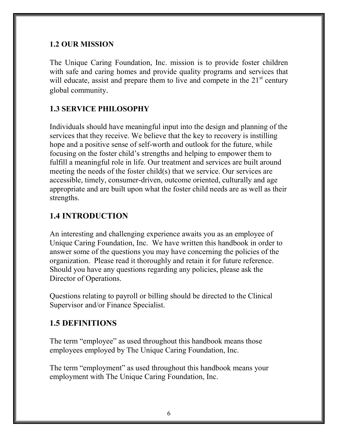#### 1.2 OUR MISSION

The Unique Caring Foundation, Inc. mission is to provide foster children with safe and caring homes and provide quality programs and services that will educate, assist and prepare them to live and compete in the  $21<sup>st</sup>$  century global community.

#### 1.3 SERVICE PHILOSOPHY

Individuals should have meaningful input into the design and planning of the services that they receive. We believe that the key to recovery is instilling hope and a positive sense of self-worth and outlook for the future, while focusing on the foster child's strengths and helping to empower them to fulfill a meaningful role in life. Our treatment and services are built around meeting the needs of the foster child(s) that we service. Our services are accessible, timely, consumer-driven, outcome oriented, culturally and age appropriate and are built upon what the foster child needs are as well as their strengths.

# 1.4 INTRODUCTION

An interesting and challenging experience awaits you as an employee of Unique Caring Foundation, Inc. We have written this handbook in order to answer some of the questions you may have concerning the policies of the organization. Please read it thoroughly and retain it for future reference. Should you have any questions regarding any policies, please ask the Director of Operations.

Questions relating to payroll or billing should be directed to the Clinical Supervisor and/or Finance Specialist.

#### 1.5 DEFINITIONS

The term "employee" as used throughout this handbook means those employees employed by The Unique Caring Foundation, Inc.

The term "employment" as used throughout this handbook means your employment with The Unique Caring Foundation, Inc.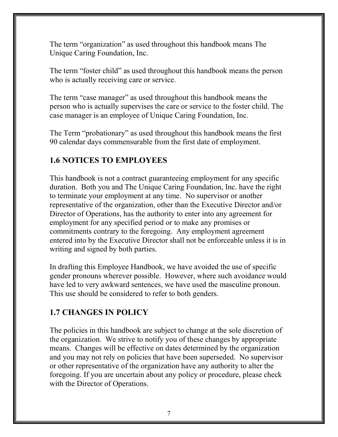The term "organization" as used throughout this handbook means The Unique Caring Foundation, Inc.

The term "foster child" as used throughout this handbook means the person who is actually receiving care or service.

The term "case manager" as used throughout this handbook means the person who is actually supervises the care or service to the foster child. The case manager is an employee of Unique Caring Foundation, Inc.

The Term "probationary" as used throughout this handbook means the first 90 calendar days commensurable from the first date of employment.

# 1.6 NOTICES TO EMPLOYEES

This handbook is not a contract guaranteeing employment for any specific duration. Both you and The Unique Caring Foundation, Inc. have the right to terminate your employment at any time. No supervisor or another representative of the organization, other than the Executive Director and/or Director of Operations, has the authority to enter into any agreement for employment for any specified period or to make any promises or commitments contrary to the foregoing. Any employment agreement entered into by the Executive Director shall not be enforceable unless it is in writing and signed by both parties.

In drafting this Employee Handbook, we have avoided the use of specific gender pronouns wherever possible. However, where such avoidance would have led to very awkward sentences, we have used the masculine pronoun. This use should be considered to refer to both genders.

# 1.7 CHANGES IN POLICY

The policies in this handbook are subject to change at the sole discretion of the organization. We strive to notify you of these changes by appropriate means. Changes will be effective on dates determined by the organization and you may not rely on policies that have been superseded. No supervisor or other representative of the organization have any authority to alter the foregoing. If you are uncertain about any policy or procedure, please check with the Director of Operations.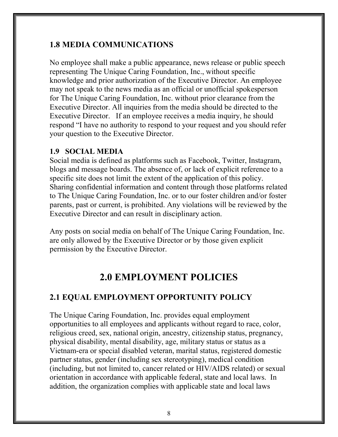#### 1.8 MEDIA COMMUNICATIONS

No employee shall make a public appearance, news release or public speech representing The Unique Caring Foundation, Inc., without specific knowledge and prior authorization of the Executive Director. An employee may not speak to the news media as an official or unofficial spokesperson for The Unique Caring Foundation, Inc. without prior clearance from the Executive Director. All inquiries from the media should be directed to the Executive Director. If an employee receives a media inquiry, he should respond "I have no authority to respond to your request and you should refer your question to the Executive Director.

#### 1.9 SOCIAL MEDIA

Social media is defined as platforms such as Facebook, Twitter, Instagram, blogs and message boards. The absence of, or lack of explicit reference to a specific site does not limit the extent of the application of this policy. Sharing confidential information and content through those platforms related to The Unique Caring Foundation, Inc. or to our foster children and/or foster parents, past or current, is prohibited. Any violations will be reviewed by the Executive Director and can result in disciplinary action.

Any posts on social media on behalf of The Unique Caring Foundation, Inc. are only allowed by the Executive Director or by those given explicit permission by the Executive Director.

# 2.0 EMPLOYMENT POLICIES

#### 2.1 EQUAL EMPLOYMENT OPPORTUNITY POLICY

The Unique Caring Foundation, Inc. provides equal employment opportunities to all employees and applicants without regard to race, color, religious creed, sex, national origin, ancestry, citizenship status, pregnancy, physical disability, mental disability, age, military status or status as a Vietnam-era or special disabled veteran, marital status, registered domestic partner status, gender (including sex stereotyping), medical condition (including, but not limited to, cancer related or HIV/AIDS related) or sexual orientation in accordance with applicable federal, state and local laws. In addition, the organization complies with applicable state and local laws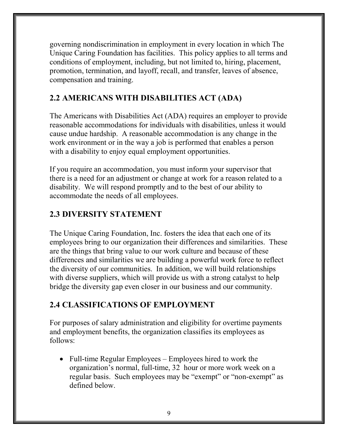governing nondiscrimination in employment in every location in which The Unique Caring Foundation has facilities. This policy applies to all terms and conditions of employment, including, but not limited to, hiring, placement, promotion, termination, and layoff, recall, and transfer, leaves of absence, compensation and training.

# 2.2 AMERICANS WITH DISABILITIES ACT (ADA)

The Americans with Disabilities Act (ADA) requires an employer to provide reasonable accommodations for individuals with disabilities, unless it would cause undue hardship. A reasonable accommodation is any change in the work environment or in the way a job is performed that enables a person with a disability to enjoy equal employment opportunities.

If you require an accommodation, you must inform your supervisor that there is a need for an adjustment or change at work for a reason related to a disability. We will respond promptly and to the best of our ability to accommodate the needs of all employees.

#### 2.3 DIVERSITY STATEMENT

The Unique Caring Foundation, Inc. fosters the idea that each one of its employees bring to our organization their differences and similarities. These are the things that bring value to our work culture and because of these differences and similarities we are building a powerful work force to reflect the diversity of our communities. In addition, we will build relationships with diverse suppliers, which will provide us with a strong catalyst to help bridge the diversity gap even closer in our business and our community.

# 2.4 CLASSIFICATIONS OF EMPLOYMENT

For purposes of salary administration and eligibility for overtime payments and employment benefits, the organization classifies its employees as follows:

• Full-time Regular Employees – Employees hired to work the organization's normal, full-time, 32 hour or more work week on a regular basis. Such employees may be "exempt" or "non-exempt" as defined below.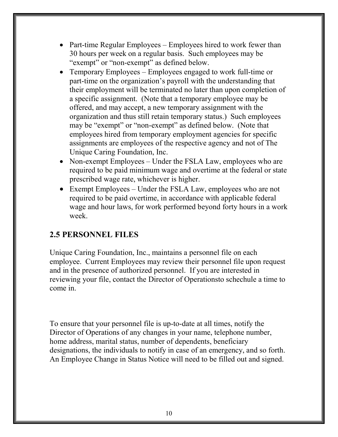- Part-time Regular Employees Employees hired to work fewer than 30 hours per week on a regular basis. Such employees may be "exempt" or "non-exempt" as defined below.
- Temporary Employees Employees engaged to work full-time or part-time on the organization's payroll with the understanding that their employment will be terminated no later than upon completion of a specific assignment. (Note that a temporary employee may be offered, and may accept, a new temporary assignment with the organization and thus still retain temporary status.) Such employees may be "exempt" or "non-exempt" as defined below. (Note that employees hired from temporary employment agencies for specific assignments are employees of the respective agency and not of The Unique Caring Foundation, Inc.
- Non-exempt Employees Under the FSLA Law, employees who are required to be paid minimum wage and overtime at the federal or state prescribed wage rate, whichever is higher.
- Exempt Employees Under the FSLA Law, employees who are not required to be paid overtime, in accordance with applicable federal wage and hour laws, for work performed beyond forty hours in a work week.

#### 2.5 PERSONNEL FILES

Unique Caring Foundation, Inc., maintains a personnel file on each employee. Current Employees may review their personnel file upon request and in the presence of authorized personnel. If you are interested in reviewing your file, contact the Director of Operationsto schechule a time to come in.

To ensure that your personnel file is up-to-date at all times, notify the Director of Operations of any changes in your name, telephone number, home address, marital status, number of dependents, beneficiary designations, the individuals to notify in case of an emergency, and so forth. An Employee Change in Status Notice will need to be filled out and signed.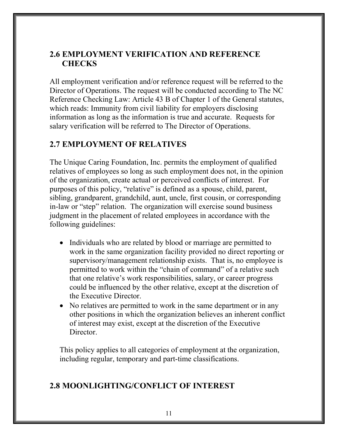#### 2.6 EMPLOYMENT VERIFICATION AND REFERENCE **CHECKS**

All employment verification and/or reference request will be referred to the Director of Operations. The request will be conducted according to The NC Reference Checking Law: Article 43 B of Chapter 1 of the General statutes, which reads: Immunity from civil liability for employers disclosing information as long as the information is true and accurate. Requests for salary verification will be referred to The Director of Operations.

#### 2.7 EMPLOYMENT OF RELATIVES

The Unique Caring Foundation, Inc. permits the employment of qualified relatives of employees so long as such employment does not, in the opinion of the organization, create actual or perceived conflicts of interest. For purposes of this policy, "relative" is defined as a spouse, child, parent, sibling, grandparent, grandchild, aunt, uncle, first cousin, or corresponding in-law or "step" relation. The organization will exercise sound business judgment in the placement of related employees in accordance with the following guidelines:

- Individuals who are related by blood or marriage are permitted to work in the same organization facility provided no direct reporting or supervisory/management relationship exists. That is, no employee is permitted to work within the "chain of command" of a relative such that one relative's work responsibilities, salary, or career progress could be influenced by the other relative, except at the discretion of the Executive Director.
- No relatives are permitted to work in the same department or in any other positions in which the organization believes an inherent conflict of interest may exist, except at the discretion of the Executive Director.

This policy applies to all categories of employment at the organization, including regular, temporary and part-time classifications.

#### 2.8 MOONLIGHTING/CONFLICT OF INTEREST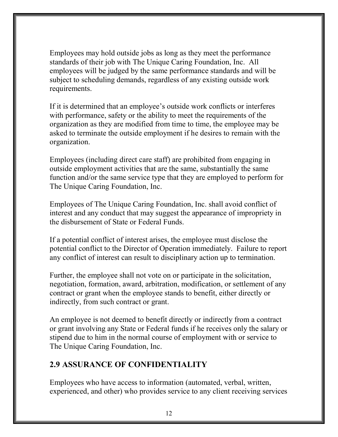Employees may hold outside jobs as long as they meet the performance standards of their job with The Unique Caring Foundation, Inc. All employees will be judged by the same performance standards and will be subject to scheduling demands, regardless of any existing outside work requirements.

If it is determined that an employee's outside work conflicts or interferes with performance, safety or the ability to meet the requirements of the organization as they are modified from time to time, the employee may be asked to terminate the outside employment if he desires to remain with the organization.

Employees (including direct care staff) are prohibited from engaging in outside employment activities that are the same, substantially the same function and/or the same service type that they are employed to perform for The Unique Caring Foundation, Inc.

Employees of The Unique Caring Foundation, Inc. shall avoid conflict of interest and any conduct that may suggest the appearance of impropriety in the disbursement of State or Federal Funds.

If a potential conflict of interest arises, the employee must disclose the potential conflict to the Director of Operation immediately. Failure to report any conflict of interest can result to disciplinary action up to termination.

Further, the employee shall not vote on or participate in the solicitation, negotiation, formation, award, arbitration, modification, or settlement of any contract or grant when the employee stands to benefit, either directly or indirectly, from such contract or grant.

An employee is not deemed to benefit directly or indirectly from a contract or grant involving any State or Federal funds if he receives only the salary or stipend due to him in the normal course of employment with or service to The Unique Caring Foundation, Inc.

#### 2.9 ASSURANCE OF CONFIDENTIALITY

Employees who have access to information (automated, verbal, written, experienced, and other) who provides service to any client receiving services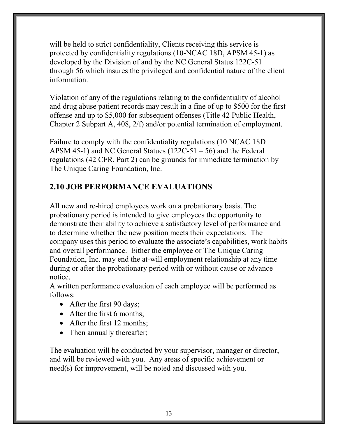will be held to strict confidentiality, Clients receiving this service is protected by confidentiality regulations (10-NCAC 18D, APSM 45-1) as developed by the Division of and by the NC General Status 122C-51 through 56 which insures the privileged and confidential nature of the client information.

Violation of any of the regulations relating to the confidentiality of alcohol and drug abuse patient records may result in a fine of up to \$500 for the first offense and up to \$5,000 for subsequent offenses (Title 42 Public Health, Chapter 2 Subpart A, 408, 2/f) and/or potential termination of employment.

Failure to comply with the confidentiality regulations (10 NCAC 18D APSM 45-1) and NC General Statues (122C-51 – 56) and the Federal regulations (42 CFR, Part 2) can be grounds for immediate termination by The Unique Caring Foundation, Inc.

# 2.10 JOB PERFORMANCE EVALUATIONS

All new and re-hired employees work on a probationary basis. The probationary period is intended to give employees the opportunity to demonstrate their ability to achieve a satisfactory level of performance and to determine whether the new position meets their expectations. The company uses this period to evaluate the associate's capabilities, work habits and overall performance. Either the employee or The Unique Caring Foundation, Inc. may end the at-will employment relationship at any time during or after the probationary period with or without cause or advance notice.

A written performance evaluation of each employee will be performed as follows:

- After the first 90 days;
- After the first 6 months:
- After the first 12 months:
- Then annually thereafter;

The evaluation will be conducted by your supervisor, manager or director, and will be reviewed with you. Any areas of specific achievement or need(s) for improvement, will be noted and discussed with you.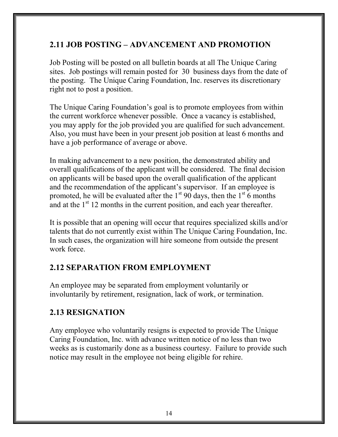#### 2.11 JOB POSTING – ADVANCEMENT AND PROMOTION

Job Posting will be posted on all bulletin boards at all The Unique Caring sites. Job postings will remain posted for 30 business days from the date of the posting. The Unique Caring Foundation, Inc. reserves its discretionary right not to post a position.

The Unique Caring Foundation's goal is to promote employees from within the current workforce whenever possible. Once a vacancy is established, you may apply for the job provided you are qualified for such advancement. Also, you must have been in your present job position at least 6 months and have a job performance of average or above.

In making advancement to a new position, the demonstrated ability and overall qualifications of the applicant will be considered. The final decision on applicants will be based upon the overall qualification of the applicant and the recommendation of the applicant's supervisor. If an employee is promoted, he will be evaluated after the  $1<sup>st</sup> 90$  days, then the  $1<sup>st</sup> 6$  months and at the  $1<sup>st</sup> 12$  months in the current position, and each year thereafter.

It is possible that an opening will occur that requires specialized skills and/or talents that do not currently exist within The Unique Caring Foundation, Inc. In such cases, the organization will hire someone from outside the present work force.

# 2.12 SEPARATION FROM EMPLOYMENT

An employee may be separated from employment voluntarily or involuntarily by retirement, resignation, lack of work, or termination.

# 2.13 RESIGNATION

Any employee who voluntarily resigns is expected to provide The Unique Caring Foundation, Inc. with advance written notice of no less than two weeks as is customarily done as a business courtesy. Failure to provide such notice may result in the employee not being eligible for rehire.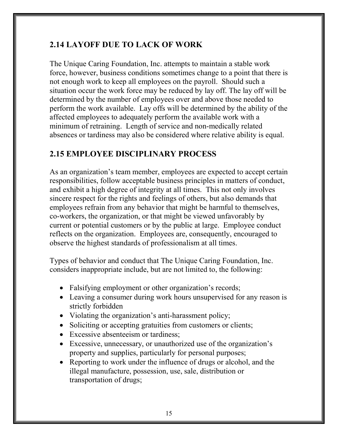# 2.14 LAYOFF DUE TO LACK OF WORK

The Unique Caring Foundation, Inc. attempts to maintain a stable work force, however, business conditions sometimes change to a point that there is not enough work to keep all employees on the payroll. Should such a situation occur the work force may be reduced by lay off. The lay off will be determined by the number of employees over and above those needed to perform the work available. Lay offs will be determined by the ability of the affected employees to adequately perform the available work with a minimum of retraining. Length of service and non-medically related absences or tardiness may also be considered where relative ability is equal.

# 2.15 EMPLOYEE DISCIPLINARY PROCESS

As an organization's team member, employees are expected to accept certain responsibilities, follow acceptable business principles in matters of conduct, and exhibit a high degree of integrity at all times. This not only involves sincere respect for the rights and feelings of others, but also demands that employees refrain from any behavior that might be harmful to themselves, co-workers, the organization, or that might be viewed unfavorably by current or potential customers or by the public at large. Employee conduct reflects on the organization. Employees are, consequently, encouraged to observe the highest standards of professionalism at all times.

Types of behavior and conduct that The Unique Caring Foundation, Inc. considers inappropriate include, but are not limited to, the following:

- Falsifying employment or other organization's records;
- Leaving a consumer during work hours unsupervised for any reason is strictly forbidden
- Violating the organization's anti-harassment policy;
- Soliciting or accepting gratuities from customers or clients;
- Excessive absenteeism or tardiness:
- Excessive, unnecessary, or unauthorized use of the organization's property and supplies, particularly for personal purposes;
- Reporting to work under the influence of drugs or alcohol, and the illegal manufacture, possession, use, sale, distribution or transportation of drugs;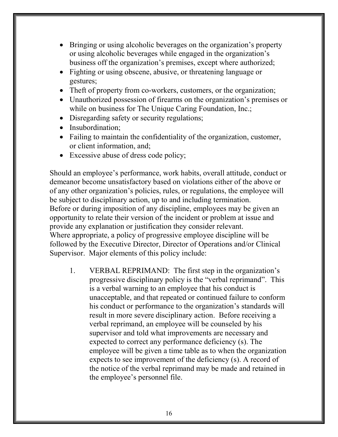- Bringing or using alcoholic beverages on the organization's property or using alcoholic beverages while engaged in the organization's business off the organization's premises, except where authorized;
- Fighting or using obscene, abusive, or threatening language or gestures;
- Theft of property from co-workers, customers, or the organization;
- Unauthorized possession of firearms on the organization's premises or while on business for The Unique Caring Foundation, Inc.;
- Disregarding safety or security regulations;
- Insubordination;
- Failing to maintain the confidentiality of the organization, customer, or client information, and;
- Excessive abuse of dress code policy;

Should an employee's performance, work habits, overall attitude, conduct or demeanor become unsatisfactory based on violations either of the above or of any other organization's policies, rules, or regulations, the employee will be subject to disciplinary action, up to and including termination. Before or during imposition of any discipline, employees may be given an opportunity to relate their version of the incident or problem at issue and provide any explanation or justification they consider relevant. Where appropriate, a policy of progressive employee discipline will be followed by the Executive Director, Director of Operations and/or Clinical Supervisor. Major elements of this policy include:

1. VERBAL REPRIMAND: The first step in the organization's progressive disciplinary policy is the "verbal reprimand". This is a verbal warning to an employee that his conduct is unacceptable, and that repeated or continued failure to conform his conduct or performance to the organization's standards will result in more severe disciplinary action. Before receiving a verbal reprimand, an employee will be counseled by his supervisor and told what improvements are necessary and expected to correct any performance deficiency (s). The employee will be given a time table as to when the organization expects to see improvement of the deficiency (s). A record of the notice of the verbal reprimand may be made and retained in the employee's personnel file.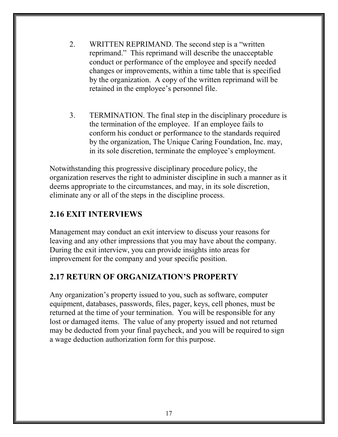- 2. WRITTEN REPRIMAND. The second step is a "written reprimand." This reprimand will describe the unacceptable conduct or performance of the employee and specify needed changes or improvements, within a time table that is specified by the organization. A copy of the written reprimand will be retained in the employee's personnel file.
- 3. TERMINATION. The final step in the disciplinary procedure is the termination of the employee. If an employee fails to conform his conduct or performance to the standards required by the organization, The Unique Caring Foundation, Inc. may, in its sole discretion, terminate the employee's employment.

Notwithstanding this progressive disciplinary procedure policy, the organization reserves the right to administer discipline in such a manner as it deems appropriate to the circumstances, and may, in its sole discretion, eliminate any or all of the steps in the discipline process.

#### 2.16 EXIT INTERVIEWS

Management may conduct an exit interview to discuss your reasons for leaving and any other impressions that you may have about the company. During the exit interview, you can provide insights into areas for improvement for the company and your specific position.

# 2.17 RETURN OF ORGANIZATION'S PROPERTY

Any organization's property issued to you, such as software, computer equipment, databases, passwords, files, pager, keys, cell phones, must be returned at the time of your termination. You will be responsible for any lost or damaged items. The value of any property issued and not returned may be deducted from your final paycheck, and you will be required to sign a wage deduction authorization form for this purpose.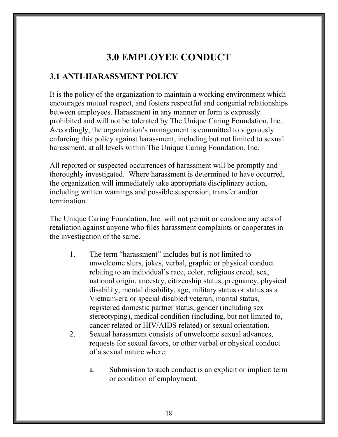# 3.0 EMPLOYEE CONDUCT

#### 3.1 ANTI-HARASSMENT POLICY

It is the policy of the organization to maintain a working environment which encourages mutual respect, and fosters respectful and congenial relationships between employees. Harassment in any manner or form is expressly prohibited and will not be tolerated by The Unique Caring Foundation, Inc. Accordingly, the organization's management is committed to vigorously enforcing this policy against harassment, including but not limited to sexual harassment, at all levels within The Unique Caring Foundation, Inc.

All reported or suspected occurrences of harassment will be promptly and thoroughly investigated. Where harassment is determined to have occurred, the organization will immediately take appropriate disciplinary action, including written warnings and possible suspension, transfer and/or termination.

The Unique Caring Foundation, Inc. will not permit or condone any acts of retaliation against anyone who files harassment complaints or cooperates in the investigation of the same.

- 1. The term "harassment" includes but is not limited to unwelcome slurs, jokes, verbal, graphic or physical conduct relating to an individual's race, color, religious creed, sex, national origin, ancestry, citizenship status, pregnancy, physical disability, mental disability, age, military status or status as a Vietnam-era or special disabled veteran, marital status, registered domestic partner status, gender (including sex stereotyping), medical condition (including, but not limited to, cancer related or HIV/AIDS related) or sexual orientation.
- 2. Sexual harassment consists of unwelcome sexual advances, requests for sexual favors, or other verbal or physical conduct of a sexual nature where:
	- a. Submission to such conduct is an explicit or implicit term or condition of employment.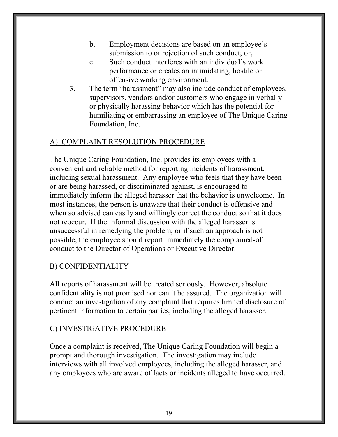- b. Employment decisions are based on an employee's submission to or rejection of such conduct; or,
- c. Such conduct interferes with an individual's work performance or creates an intimidating, hostile or offensive working environment.
- 3. The term "harassment" may also include conduct of employees, supervisors, vendors and/or customers who engage in verbally or physically harassing behavior which has the potential for humiliating or embarrassing an employee of The Unique Caring Foundation, Inc.

#### A) COMPLAINT RESOLUTION PROCEDURE

The Unique Caring Foundation, Inc. provides its employees with a convenient and reliable method for reporting incidents of harassment, including sexual harassment. Any employee who feels that they have been or are being harassed, or discriminated against, is encouraged to immediately inform the alleged harasser that the behavior is unwelcome. In most instances, the person is unaware that their conduct is offensive and when so advised can easily and willingly correct the conduct so that it does not reoccur. If the informal discussion with the alleged harasser is unsuccessful in remedying the problem, or if such an approach is not possible, the employee should report immediately the complained-of conduct to the Director of Operations or Executive Director.

#### B) CONFIDENTIALITY

All reports of harassment will be treated seriously. However, absolute confidentiality is not promised nor can it be assured. The organization will conduct an investigation of any complaint that requires limited disclosure of pertinent information to certain parties, including the alleged harasser.

#### C) INVESTIGATIVE PROCEDURE

Once a complaint is received, The Unique Caring Foundation will begin a prompt and thorough investigation. The investigation may include interviews with all involved employees, including the alleged harasser, and any employees who are aware of facts or incidents alleged to have occurred.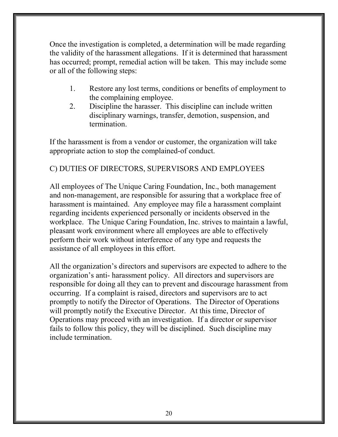Once the investigation is completed, a determination will be made regarding the validity of the harassment allegations. If it is determined that harassment has occurred; prompt, remedial action will be taken. This may include some or all of the following steps:

- 1. Restore any lost terms, conditions or benefits of employment to the complaining employee.
- 2. Discipline the harasser. This discipline can include written disciplinary warnings, transfer, demotion, suspension, and termination.

If the harassment is from a vendor or customer, the organization will take appropriate action to stop the complained-of conduct.

#### C) DUTIES OF DIRECTORS, SUPERVISORS AND EMPLOYEES

All employees of The Unique Caring Foundation, Inc., both management and non-management, are responsible for assuring that a workplace free of harassment is maintained. Any employee may file a harassment complaint regarding incidents experienced personally or incidents observed in the workplace. The Unique Caring Foundation, Inc. strives to maintain a lawful, pleasant work environment where all employees are able to effectively perform their work without interference of any type and requests the assistance of all employees in this effort.

All the organization's directors and supervisors are expected to adhere to the organization's anti- harassment policy. All directors and supervisors are responsible for doing all they can to prevent and discourage harassment from occurring. If a complaint is raised, directors and supervisors are to act promptly to notify the Director of Operations. The Director of Operations will promptly notify the Executive Director. At this time, Director of Operations may proceed with an investigation. If a director or supervisor fails to follow this policy, they will be disciplined. Such discipline may include termination.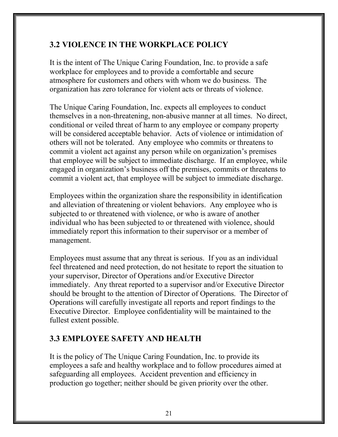# 3.2 VIOLENCE IN THE WORKPLACE POLICY

It is the intent of The Unique Caring Foundation, Inc. to provide a safe workplace for employees and to provide a comfortable and secure atmosphere for customers and others with whom we do business. The organization has zero tolerance for violent acts or threats of violence.

The Unique Caring Foundation, Inc. expects all employees to conduct themselves in a non-threatening, non-abusive manner at all times. No direct, conditional or veiled threat of harm to any employee or company property will be considered acceptable behavior. Acts of violence or intimidation of others will not be tolerated. Any employee who commits or threatens to commit a violent act against any person while on organization's premises that employee will be subject to immediate discharge. If an employee, while engaged in organization's business off the premises, commits or threatens to commit a violent act, that employee will be subject to immediate discharge.

Employees within the organization share the responsibility in identification and alleviation of threatening or violent behaviors. Any employee who is subjected to or threatened with violence, or who is aware of another individual who has been subjected to or threatened with violence, should immediately report this information to their supervisor or a member of management.

Employees must assume that any threat is serious. If you as an individual feel threatened and need protection, do not hesitate to report the situation to your supervisor, Director of Operations and/or Executive Director immediately. Any threat reported to a supervisor and/or Executive Director should be brought to the attention of Director of Operations. The Director of Operations will carefully investigate all reports and report findings to the Executive Director. Employee confidentiality will be maintained to the fullest extent possible.

# 3.3 EMPLOYEE SAFETY AND HEALTH

It is the policy of The Unique Caring Foundation, Inc. to provide its employees a safe and healthy workplace and to follow procedures aimed at safeguarding all employees. Accident prevention and efficiency in production go together; neither should be given priority over the other.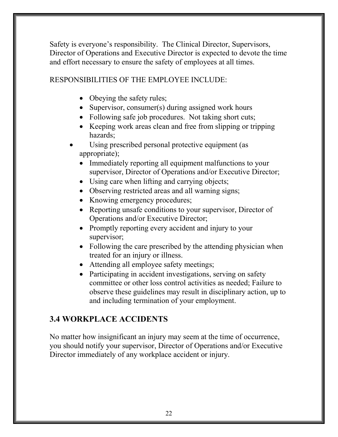Safety is everyone's responsibility. The Clinical Director, Supervisors, Director of Operations and Executive Director is expected to devote the time and effort necessary to ensure the safety of employees at all times.

#### RESPONSIBILITIES OF THE EMPLOYEE INCLUDE:

- Obeying the safety rules;
- Supervisor, consumer(s) during assigned work hours
- Following safe job procedures. Not taking short cuts;
- Keeping work areas clean and free from slipping or tripping hazards;
- Using prescribed personal protective equipment (as appropriate);
	- Immediately reporting all equipment malfunctions to your supervisor, Director of Operations and/or Executive Director;
	- Using care when lifting and carrying objects;
	- Observing restricted areas and all warning signs;
	- Knowing emergency procedures;
	- Reporting unsafe conditions to your supervisor, Director of Operations and/or Executive Director;
	- Promptly reporting every accident and injury to your supervisor;
	- Following the care prescribed by the attending physician when treated for an injury or illness.
	- Attending all employee safety meetings;
	- Participating in accident investigations, serving on safety committee or other loss control activities as needed; Failure to observe these guidelines may result in disciplinary action, up to and including termination of your employment.

# 3.4 WORKPLACE ACCIDENTS

No matter how insignificant an injury may seem at the time of occurrence, you should notify your supervisor, Director of Operations and/or Executive Director immediately of any workplace accident or injury.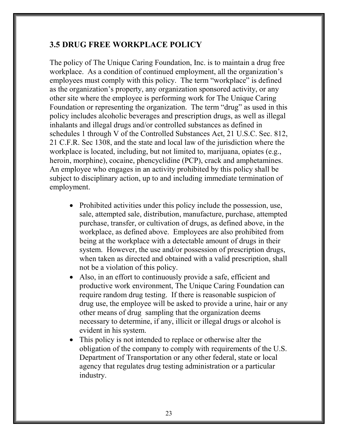#### 3.5 DRUG FREE WORKPLACE POLICY

The policy of The Unique Caring Foundation, Inc. is to maintain a drug free workplace. As a condition of continued employment, all the organization's employees must comply with this policy. The term "workplace" is defined as the organization's property, any organization sponsored activity, or any other site where the employee is performing work for The Unique Caring Foundation or representing the organization. The term "drug" as used in this policy includes alcoholic beverages and prescription drugs, as well as illegal inhalants and illegal drugs and/or controlled substances as defined in schedules 1 through V of the Controlled Substances Act, 21 U.S.C. Sec. 812, 21 C.F.R. Sec 1308, and the state and local law of the jurisdiction where the workplace is located, including, but not limited to, marijuana, opiates (e.g., heroin, morphine), cocaine, phencyclidine (PCP), crack and amphetamines. An employee who engages in an activity prohibited by this policy shall be subject to disciplinary action, up to and including immediate termination of employment.

- Prohibited activities under this policy include the possession, use, sale, attempted sale, distribution, manufacture, purchase, attempted purchase, transfer, or cultivation of drugs, as defined above, in the workplace, as defined above. Employees are also prohibited from being at the workplace with a detectable amount of drugs in their system. However, the use and/or possession of prescription drugs, when taken as directed and obtained with a valid prescription, shall not be a violation of this policy.
- Also, in an effort to continuously provide a safe, efficient and productive work environment, The Unique Caring Foundation can require random drug testing. If there is reasonable suspicion of drug use, the employee will be asked to provide a urine, hair or any other means of drug sampling that the organization deems necessary to determine, if any, illicit or illegal drugs or alcohol is evident in his system.
- This policy is not intended to replace or otherwise alter the obligation of the company to comply with requirements of the U.S. Department of Transportation or any other federal, state or local agency that regulates drug testing administration or a particular industry.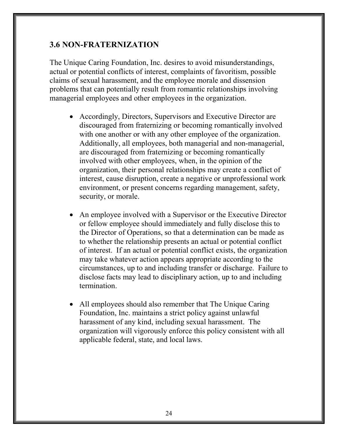#### 3.6 NON-FRATERNIZATION

The Unique Caring Foundation, Inc. desires to avoid misunderstandings, actual or potential conflicts of interest, complaints of favoritism, possible claims of sexual harassment, and the employee morale and dissension problems that can potentially result from romantic relationships involving managerial employees and other employees in the organization.

- Accordingly, Directors, Supervisors and Executive Director are discouraged from fraternizing or becoming romantically involved with one another or with any other employee of the organization. Additionally, all employees, both managerial and non-managerial, are discouraged from fraternizing or becoming romantically involved with other employees, when, in the opinion of the organization, their personal relationships may create a conflict of interest, cause disruption, create a negative or unprofessional work environment, or present concerns regarding management, safety, security, or morale.
- An employee involved with a Supervisor or the Executive Director or fellow employee should immediately and fully disclose this to the Director of Operations, so that a determination can be made as to whether the relationship presents an actual or potential conflict of interest. If an actual or potential conflict exists, the organization may take whatever action appears appropriate according to the circumstances, up to and including transfer or discharge. Failure to disclose facts may lead to disciplinary action, up to and including termination.
- All employees should also remember that The Unique Caring Foundation, Inc. maintains a strict policy against unlawful harassment of any kind, including sexual harassment. The organization will vigorously enforce this policy consistent with all applicable federal, state, and local laws.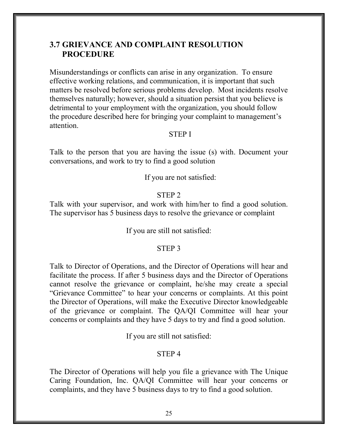#### 3.7 GRIEVANCE AND COMPLAINT RESOLUTION PROCEDURE

Misunderstandings or conflicts can arise in any organization. To ensure effective working relations, and communication, it is important that such matters be resolved before serious problems develop. Most incidents resolve themselves naturally; however, should a situation persist that you believe is detrimental to your employment with the organization, you should follow the procedure described here for bringing your complaint to management's attention.

#### STEP I

Talk to the person that you are having the issue (s) with. Document your conversations, and work to try to find a good solution

If you are not satisfied:

#### STEP 2

Talk with your supervisor, and work with him/her to find a good solution. The supervisor has 5 business days to resolve the grievance or complaint

If you are still not satisfied:

#### STEP 3

Talk to Director of Operations, and the Director of Operations will hear and facilitate the process. If after 5 business days and the Director of Operations cannot resolve the grievance or complaint, he/she may create a special "Grievance Committee" to hear your concerns or complaints. At this point the Director of Operations, will make the Executive Director knowledgeable of the grievance or complaint. The QA/QI Committee will hear your concerns or complaints and they have 5 days to try and find a good solution.

If you are still not satisfied:

#### STEP 4

The Director of Operations will help you file a grievance with The Unique Caring Foundation, Inc. QA/QI Committee will hear your concerns or complaints, and they have 5 business days to try to find a good solution.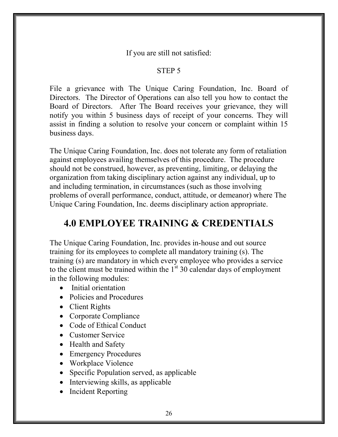If you are still not satisfied:

#### STEP 5

File a grievance with The Unique Caring Foundation, Inc. Board of Directors. The Director of Operations can also tell you how to contact the Board of Directors. After The Board receives your grievance, they will notify you within 5 business days of receipt of your concerns. They will assist in finding a solution to resolve your concern or complaint within 15 business days.

The Unique Caring Foundation, Inc. does not tolerate any form of retaliation against employees availing themselves of this procedure. The procedure should not be construed, however, as preventing, limiting, or delaying the organization from taking disciplinary action against any individual, up to and including termination, in circumstances (such as those involving problems of overall performance, conduct, attitude, or demeanor) where The Unique Caring Foundation, Inc. deems disciplinary action appropriate.

# 4.0 EMPLOYEE TRAINING & CREDENTIALS

The Unique Caring Foundation, Inc. provides in-house and out source training for its employees to complete all mandatory training (s). The training (s) are mandatory in which every employee who provides a service to the client must be trained within the  $1<sup>st</sup> 30$  calendar days of employment in the following modules:

- Initial orientation
- Policies and Procedures
- Client Rights
- Corporate Compliance
- Code of Ethical Conduct
- Customer Service
- Health and Safety
- Emergency Procedures
- Workplace Violence
- Specific Population served, as applicable
- Interviewing skills, as applicable
- Incident Reporting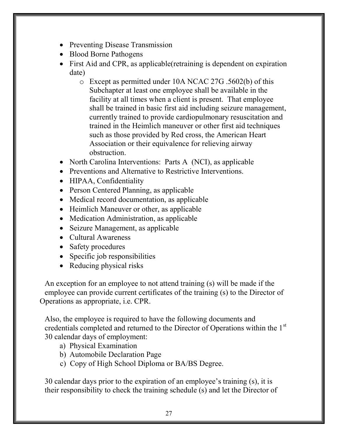- Preventing Disease Transmission
- Blood Borne Pathogens
- First Aid and CPR, as applicable(retraining is dependent on expiration date)
	- o Except as permitted under 10A NCAC 27G .5602(b) of this Subchapter at least one employee shall be available in the facility at all times when a client is present. That employee shall be trained in basic first aid including seizure management, currently trained to provide cardiopulmonary resuscitation and trained in the Heimlich maneuver or other first aid techniques such as those provided by Red cross, the American Heart Association or their equivalence for relieving airway obstruction.
- North Carolina Interventions: Parts A (NCI), as applicable
- Preventions and Alternative to Restrictive Interventions.
- HIPAA, Confidentiality
- Person Centered Planning, as applicable
- Medical record documentation, as applicable
- Heimlich Maneuver or other, as applicable
- Medication Administration, as applicable
- Seizure Management, as applicable
- Cultural Awareness
- Safety procedures
- Specific job responsibilities
- Reducing physical risks

An exception for an employee to not attend training (s) will be made if the employee can provide current certificates of the training (s) to the Director of Operations as appropriate, i.e. CPR.

Also, the employee is required to have the following documents and credentials completed and returned to the Director of Operations within the  $1<sup>st</sup>$ 30 calendar days of employment:

- a) Physical Examination
- b) Automobile Declaration Page
- c) Copy of High School Diploma or BA/BS Degree.

30 calendar days prior to the expiration of an employee's training (s), it is their responsibility to check the training schedule (s) and let the Director of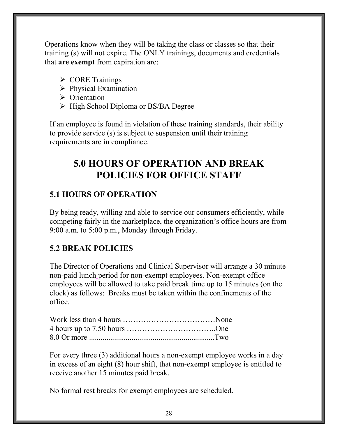Operations know when they will be taking the class or classes so that their training (s) will not expire. The ONLY trainings, documents and credentials that are exempt from expiration are:

- ▶ CORE Trainings
- $\triangleright$  Physical Examination
- $\triangleright$  Orientation
- $\triangleright$  High School Diploma or BS/BA Degree

If an employee is found in violation of these training standards, their ability to provide service (s) is subject to suspension until their training requirements are in compliance.

# 5.0 HOURS OF OPERATION AND BREAK POLICIES FOR OFFICE STAFF

# 5.1 HOURS OF OPERATION

By being ready, willing and able to service our consumers efficiently, while competing fairly in the marketplace, the organization's office hours are from 9:00 a.m. to 5:00 p.m., Monday through Friday.

# 5.2 BREAK POLICIES

The Director of Operations and Clinical Supervisor will arrange a 30 minute non-paid lunch period for non-exempt employees. Non-exempt office employees will be allowed to take paid break time up to 15 minutes (on the clock) as follows: Breaks must be taken within the confinements of the office.

For every three (3) additional hours a non-exempt employee works in a day in excess of an eight (8) hour shift, that non-exempt employee is entitled to receive another 15 minutes paid break.

No formal rest breaks for exempt employees are scheduled.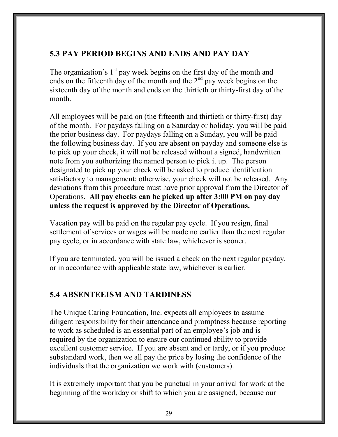#### 5.3 PAY PERIOD BEGINS AND ENDS AND PAY DAY

The organization's  $1<sup>st</sup>$  pay week begins on the first day of the month and ends on the fifteenth day of the month and the  $2<sup>nd</sup>$  pay week begins on the sixteenth day of the month and ends on the thirtieth or thirty-first day of the month.

All employees will be paid on (the fifteenth and thirtieth or thirty-first) day of the month. For paydays falling on a Saturday or holiday, you will be paid the prior business day. For paydays falling on a Sunday, you will be paid the following business day. If you are absent on payday and someone else is to pick up your check, it will not be released without a signed, handwritten note from you authorizing the named person to pick it up. The person designated to pick up your check will be asked to produce identification satisfactory to management; otherwise, your check will not be released. Any deviations from this procedure must have prior approval from the Director of Operations. All pay checks can be picked up after 3:00 PM on pay day unless the request is approved by the Director of Operations.

Vacation pay will be paid on the regular pay cycle. If you resign, final settlement of services or wages will be made no earlier than the next regular pay cycle, or in accordance with state law, whichever is sooner.

If you are terminated, you will be issued a check on the next regular payday, or in accordance with applicable state law, whichever is earlier.

#### 5.4 ABSENTEEISM AND TARDINESS

The Unique Caring Foundation, Inc. expects all employees to assume diligent responsibility for their attendance and promptness because reporting to work as scheduled is an essential part of an employee's job and is required by the organization to ensure our continued ability to provide excellent customer service. If you are absent and or tardy, or if you produce substandard work, then we all pay the price by losing the confidence of the individuals that the organization we work with (customers).

It is extremely important that you be punctual in your arrival for work at the beginning of the workday or shift to which you are assigned, because our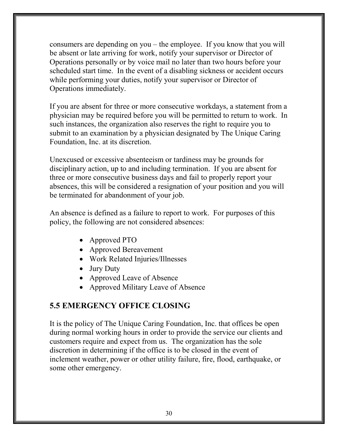consumers are depending on you – the employee. If you know that you will be absent or late arriving for work, notify your supervisor or Director of Operations personally or by voice mail no later than two hours before your scheduled start time. In the event of a disabling sickness or accident occurs while performing your duties, notify your supervisor or Director of Operations immediately.

If you are absent for three or more consecutive workdays, a statement from a physician may be required before you will be permitted to return to work. In such instances, the organization also reserves the right to require you to submit to an examination by a physician designated by The Unique Caring Foundation, Inc. at its discretion.

Unexcused or excessive absenteeism or tardiness may be grounds for disciplinary action, up to and including termination. If you are absent for three or more consecutive business days and fail to properly report your absences, this will be considered a resignation of your position and you will be terminated for abandonment of your job.

An absence is defined as a failure to report to work. For purposes of this policy, the following are not considered absences:

- Approved PTO
- Approved Bereavement
- Work Related Injuries/Illnesses
- Jury Duty
- Approved Leave of Absence
- Approved Military Leave of Absence

# 5.5 EMERGENCY OFFICE CLOSING

It is the policy of The Unique Caring Foundation, Inc. that offices be open during normal working hours in order to provide the service our clients and customers require and expect from us. The organization has the sole discretion in determining if the office is to be closed in the event of inclement weather, power or other utility failure, fire, flood, earthquake, or some other emergency.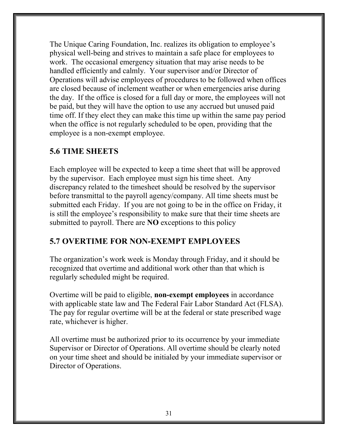The Unique Caring Foundation, Inc. realizes its obligation to employee's physical well-being and strives to maintain a safe place for employees to work. The occasional emergency situation that may arise needs to be handled efficiently and calmly. Your supervisor and/or Director of Operations will advise employees of procedures to be followed when offices are closed because of inclement weather or when emergencies arise during the day. If the office is closed for a full day or more, the employees will not be paid, but they will have the option to use any accrued but unused paid time off. If they elect they can make this time up within the same pay period when the office is not regularly scheduled to be open, providing that the employee is a non-exempt employee.

#### 5.6 TIME SHEETS

Each employee will be expected to keep a time sheet that will be approved by the supervisor. Each employee must sign his time sheet. Any discrepancy related to the timesheet should be resolved by the supervisor before transmittal to the payroll agency/company. All time sheets must be submitted each Friday. If you are not going to be in the office on Friday, it is still the employee's responsibility to make sure that their time sheets are submitted to payroll. There are **NO** exceptions to this policy

#### 5.7 OVERTIME FOR NON-EXEMPT EMPLOYEES

The organization's work week is Monday through Friday, and it should be recognized that overtime and additional work other than that which is regularly scheduled might be required.

Overtime will be paid to eligible, non-exempt employees in accordance with applicable state law and The Federal Fair Labor Standard Act (FLSA). The pay for regular overtime will be at the federal or state prescribed wage rate, whichever is higher.

All overtime must be authorized prior to its occurrence by your immediate Supervisor or Director of Operations. All overtime should be clearly noted on your time sheet and should be initialed by your immediate supervisor or Director of Operations.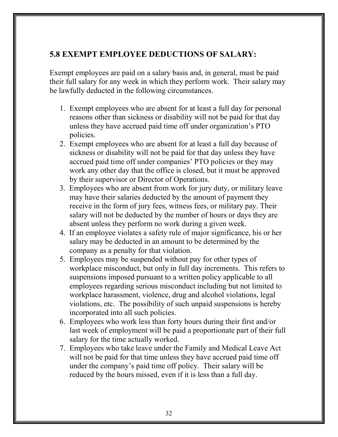#### 5.8 EXEMPT EMPLOYEE DEDUCTIONS OF SALARY:

Exempt employees are paid on a salary basis and, in general, must be paid their full salary for any week in which they perform work. Their salary may be lawfully deducted in the following circumstances.

- 1. Exempt employees who are absent for at least a full day for personal reasons other than sickness or disability will not be paid for that day unless they have accrued paid time off under organization's PTO policies.
- 2. Exempt employees who are absent for at least a full day because of sickness or disability will not be paid for that day unless they have accrued paid time off under companies' PTO policies or they may work any other day that the office is closed, but it must be approved by their supervisor or Director of Operations.
- 3. Employees who are absent from work for jury duty, or military leave may have their salaries deducted by the amount of payment they receive in the form of jury fees, witness fees, or military pay. Their salary will not be deducted by the number of hours or days they are absent unless they perform no work during a given week.
- 4. If an employee violates a safety rule of major significance, his or her salary may be deducted in an amount to be determined by the company as a penalty for that violation.
- 5. Employees may be suspended without pay for other types of workplace misconduct, but only in full day increments. This refers to suspensions imposed pursuant to a written policy applicable to all employees regarding serious misconduct including but not limited to workplace harassment, violence, drug and alcohol violations, legal violations, etc. The possibility of such unpaid suspensions is hereby incorporated into all such policies.
- 6. Employees who work less than forty hours during their first and/or last week of employment will be paid a proportionate part of their full salary for the time actually worked.
- 7. Employees who take leave under the Family and Medical Leave Act will not be paid for that time unless they have accrued paid time off under the company's paid time off policy. Their salary will be reduced by the hours missed, even if it is less than a full day.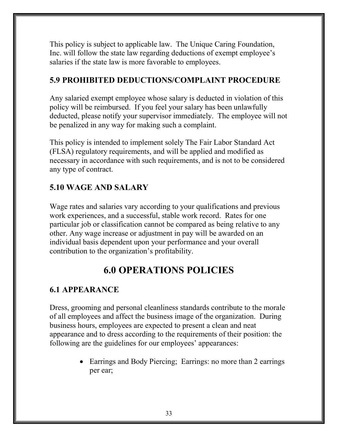This policy is subject to applicable law. The Unique Caring Foundation, Inc. will follow the state law regarding deductions of exempt employee's salaries if the state law is more favorable to employees.

#### 5.9 PROHIBITED DEDUCTIONS/COMPLAINT PROCEDURE

Any salaried exempt employee whose salary is deducted in violation of this policy will be reimbursed. If you feel your salary has been unlawfully deducted, please notify your supervisor immediately. The employee will not be penalized in any way for making such a complaint.

This policy is intended to implement solely The Fair Labor Standard Act (FLSA) regulatory requirements, and will be applied and modified as necessary in accordance with such requirements, and is not to be considered any type of contract.

# 5.10 WAGE AND SALARY

Wage rates and salaries vary according to your qualifications and previous work experiences, and a successful, stable work record. Rates for one particular job or classification cannot be compared as being relative to any other. Any wage increase or adjustment in pay will be awarded on an individual basis dependent upon your performance and your overall contribution to the organization's profitability.

# 6.0 OPERATIONS POLICIES

# 6.1 APPEARANCE

Dress, grooming and personal cleanliness standards contribute to the morale of all employees and affect the business image of the organization. During business hours, employees are expected to present a clean and neat appearance and to dress according to the requirements of their position: the following are the guidelines for our employees' appearances:

> • Earrings and Body Piercing; Earrings: no more than 2 earrings per ear;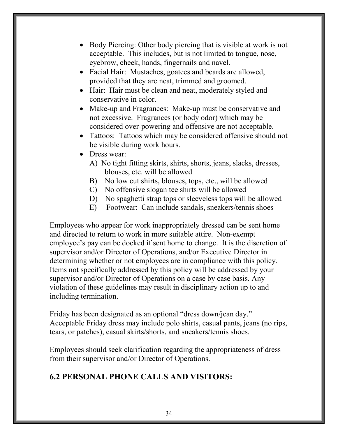- Body Piercing: Other body piercing that is visible at work is not acceptable. This includes, but is not limited to tongue, nose, eyebrow, cheek, hands, fingernails and navel.
- Facial Hair: Mustaches, goatees and beards are allowed, provided that they are neat, trimmed and groomed.
- Hair: Hair must be clean and neat, moderately styled and conservative in color.
- Make-up and Fragrances: Make-up must be conservative and not excessive. Fragrances (or body odor) which may be considered over-powering and offensive are not acceptable.
- Tattoos: Tattoos which may be considered offensive should not be visible during work hours.
- Dress wear:
	- A) No tight fitting skirts, shirts, shorts, jeans, slacks, dresses, blouses, etc. will be allowed
	- B) No low cut shirts, blouses, tops, etc., will be allowed
	- C) No offensive slogan tee shirts will be allowed
	- D) No spaghetti strap tops or sleeveless tops will be allowed
	- E) Footwear: Can include sandals, sneakers/tennis shoes

Employees who appear for work inappropriately dressed can be sent home and directed to return to work in more suitable attire. Non-exempt employee's pay can be docked if sent home to change. It is the discretion of supervisor and/or Director of Operations, and/or Executive Director in determining whether or not employees are in compliance with this policy. Items not specifically addressed by this policy will be addressed by your supervisor and/or Director of Operations on a case by case basis. Any violation of these guidelines may result in disciplinary action up to and including termination.

Friday has been designated as an optional "dress down/jean day." Acceptable Friday dress may include polo shirts, casual pants, jeans (no rips, tears, or patches), casual skirts/shorts, and sneakers/tennis shoes.

Employees should seek clarification regarding the appropriateness of dress from their supervisor and/or Director of Operations.

# 6.2 PERSONAL PHONE CALLS AND VISITORS: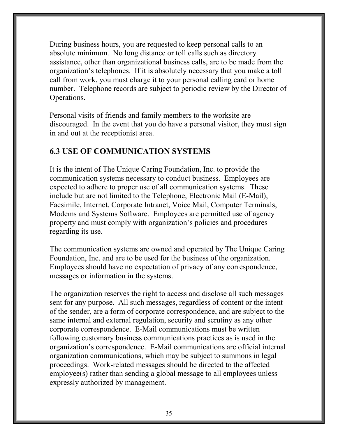During business hours, you are requested to keep personal calls to an absolute minimum. No long distance or toll calls such as directory assistance, other than organizational business calls, are to be made from the organization's telephones. If it is absolutely necessary that you make a toll call from work, you must charge it to your personal calling card or home number. Telephone records are subject to periodic review by the Director of Operations.

Personal visits of friends and family members to the worksite are discouraged. In the event that you do have a personal visitor, they must sign in and out at the receptionist area.

#### 6.3 USE OF COMMUNICATION SYSTEMS

It is the intent of The Unique Caring Foundation, Inc. to provide the communication systems necessary to conduct business. Employees are expected to adhere to proper use of all communication systems. These include but are not limited to the Telephone, Electronic Mail (E-Mail), Facsimile, Internet, Corporate Intranet, Voice Mail, Computer Terminals, Modems and Systems Software. Employees are permitted use of agency property and must comply with organization's policies and procedures regarding its use.

The communication systems are owned and operated by The Unique Caring Foundation, Inc. and are to be used for the business of the organization. Employees should have no expectation of privacy of any correspondence, messages or information in the systems.

The organization reserves the right to access and disclose all such messages sent for any purpose. All such messages, regardless of content or the intent of the sender, are a form of corporate correspondence, and are subject to the same internal and external regulation, security and scrutiny as any other corporate correspondence. E-Mail communications must be written following customary business communications practices as is used in the organization's correspondence. E-Mail communications are official internal organization communications, which may be subject to summons in legal proceedings. Work-related messages should be directed to the affected employee(s) rather than sending a global message to all employees unless expressly authorized by management.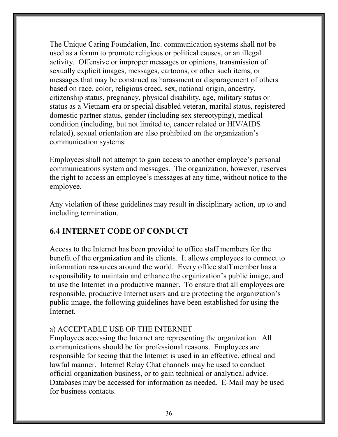The Unique Caring Foundation, Inc. communication systems shall not be used as a forum to promote religious or political causes, or an illegal activity. Offensive or improper messages or opinions, transmission of sexually explicit images, messages, cartoons, or other such items, or messages that may be construed as harassment or disparagement of others based on race, color, religious creed, sex, national origin, ancestry, citizenship status, pregnancy, physical disability, age, military status or status as a Vietnam-era or special disabled veteran, marital status, registered domestic partner status, gender (including sex stereotyping), medical condition (including, but not limited to, cancer related or HIV/AIDS related), sexual orientation are also prohibited on the organization's communication systems.

Employees shall not attempt to gain access to another employee's personal communications system and messages. The organization, however, reserves the right to access an employee's messages at any time, without notice to the employee.

Any violation of these guidelines may result in disciplinary action, up to and including termination.

# 6.4 INTERNET CODE OF CONDUCT

Access to the Internet has been provided to office staff members for the benefit of the organization and its clients. It allows employees to connect to information resources around the world. Every office staff member has a responsibility to maintain and enhance the organization's public image, and to use the Internet in a productive manner. To ensure that all employees are responsible, productive Internet users and are protecting the organization's public image, the following guidelines have been established for using the Internet.

#### a) ACCEPTABLE USE OF THE INTERNET

Employees accessing the Internet are representing the organization. All communications should be for professional reasons. Employees are responsible for seeing that the Internet is used in an effective, ethical and lawful manner. Internet Relay Chat channels may be used to conduct official organization business, or to gain technical or analytical advice. Databases may be accessed for information as needed. E-Mail may be used for business contacts.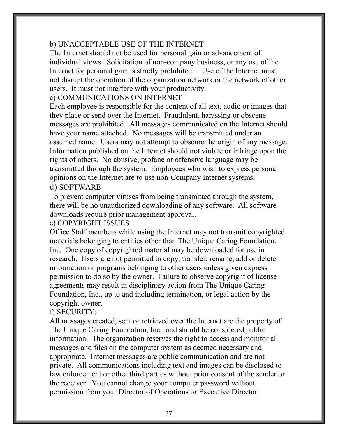#### b) UNACCEPTABLE USE OF THE INTERNET

The Internet should not be used for personal gain or advancement of individual views. Solicitation of non-company business, or any use of the Internet for personal gain is strictly prohibited. Use of the Internet must not disrupt the operation of the organization network or the network of other users. It must not interfere with your productivity.

#### c) COMMUNICATIONS ON INTERNET

Each employee is responsible for the content of all text, audio or images that they place or send over the Internet. Fraudulent, harassing or obscene messages are prohibited. All messages communicated on the Internet should have your name attached. No messages will be transmitted under an assumed name. Users may not attempt to obscure the origin of any message. Information published on the Internet should not violate or infringe upon the rights of others. No abusive, profane or offensive language may be transmitted through the system. Employees who wish to express personal opinions on the Internet are to use non-Company Internet systems.

#### d) SOFTWARE

To prevent computer viruses from being transmitted through the system, there will be no unauthorized downloading of any software. All software downloads require prior management approval.

#### e) COPYRIGHT ISSUES

Office Staff members while using the Internet may not transmit copyrighted materials belonging to entities other than The Unique Caring Foundation, Inc. One copy of copyrighted material may be downloaded for use in research. Users are not permitted to copy, transfer, rename, add or delete information or programs belonging to other users unless given express permission to do so by the owner. Failure to observe copyright of license agreements may result in disciplinary action from The Unique Caring Foundation, Inc., up to and including termination, or legal action by the copyright owner.

#### f) SECURITY:

All messages created, sent or retrieved over the Internet are the property of The Unique Caring Foundation, Inc., and should be considered public information. The organization reserves the right to access and monitor all messages and files on the computer system as deemed necessary and appropriate. Internet messages are public communication and are not private. All communications including text and images can be disclosed to law enforcement or other third parties without prior consent of the sender or the receiver. You cannot change your computer password without permission from your Director of Operations or Executive Director.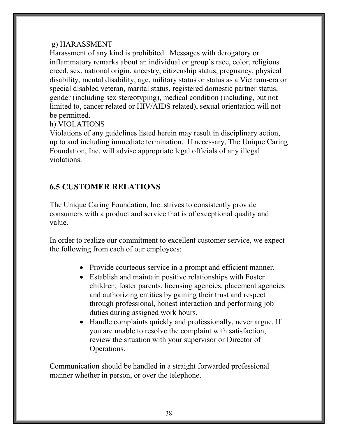#### g) HARASSMENT

Harassment of any kind is prohibited. Messages with derogatory or inflammatory remarks about an individual or group's race, color, religious creed, sex, national origin, ancestry, citizenship status, pregnancy, physical disability, mental disability, age, military status or status as a Vietnam-era or special disabled veteran, marital status, registered domestic partner status, gender (including sex stereotyping), medical condition (including, but not limited to, cancer related or HIV/AIDS related), sexual orientation will not be permitted.

#### h) VIOLATIONS

Violations of any guidelines listed herein may result in disciplinary action, up to and including immediate termination. If necessary, The Unique Caring Foundation, Inc. will advise appropriate legal officials of any illegal violations.

#### 6.5 CUSTOMER RELATIONS

The Unique Caring Foundation, Inc. strives to consistently provide consumers with a product and service that is of exceptional quality and value.

In order to realize our commitment to excellent customer service, we expect the following from each of our employees:

- Provide courteous service in a prompt and efficient manner.
- Establish and maintain positive relationships with Foster children, foster parents, licensing agencies, placement agencies and authorizing entities by gaining their trust and respect through professional, honest interaction and performing job duties during assigned work hours.
- Handle complaints quickly and professionally, never argue. If you are unable to resolve the complaint with satisfaction, review the situation with your supervisor or Director of Operations.

Communication should be handled in a straight forwarded professional manner whether in person, or over the telephone.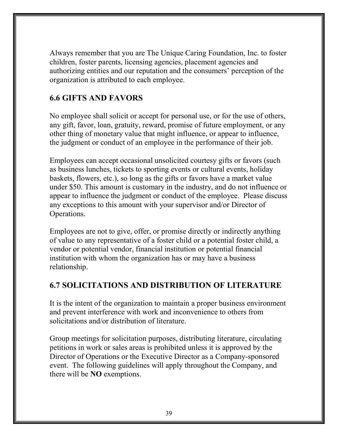Always remember that you are The Unique Caring Foundation, Inc. to foster children, foster parents, licensing agencies, placement agencies and authorizing entities and our reputation and the consumers' perception of the organization is attributed to each employee.

#### 6.6 GIFTS AND FAVORS

No employee shall solicit or accept for personal use, or for the use of others, any gift, favor, loan, gratuity, reward, promise of future employment, or any other thing of monetary value that might influence, or appear to influence, the judgment or conduct of an employee in the performance of their job.

Employees can accept occasional unsolicited courtesy gifts or favors (such as business lunches, tickets to sporting events or cultural events, holiday baskets, flowers, etc.), so long as the gifts or favors have a market value under \$50. This amount is customary in the industry, and do not influence or appear to influence the judgment or conduct of the employee. Please discuss any exceptions to this amount with your supervisor and/or Director of Operations.

Employees are not to give, offer, or promise directly or indirectly anything of value to any representative of a foster child or a potential foster child, a vendor or potential vendor, financial institution or potential financial institution with whom the organization has or may have a business relationship.

#### 6.7 SOLICITATIONS AND DISTRIBUTION OF LITERATURE

It is the intent of the organization to maintain a proper business environment and prevent interference with work and inconvenience to others from solicitations and/or distribution of literature.

Group meetings for solicitation purposes, distributing literature, circulating petitions in work or sales areas is prohibited unless it is approved by the Director of Operations or the Executive Director as a Company-sponsored event. The following guidelines will apply throughout the Company, and there will be NO exemptions.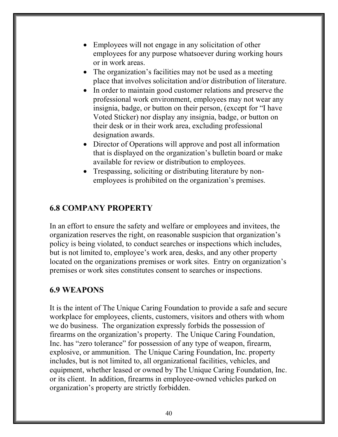- Employees will not engage in any solicitation of other employees for any purpose whatsoever during working hours or in work areas.
- The organization's facilities may not be used as a meeting place that involves solicitation and/or distribution of literature.
- In order to maintain good customer relations and preserve the professional work environment, employees may not wear any insignia, badge, or button on their person, (except for "I have Voted Sticker) nor display any insignia, badge, or button on their desk or in their work area, excluding professional designation awards.
- Director of Operations will approve and post all information that is displayed on the organization's bulletin board or make available for review or distribution to employees.
- Trespassing, soliciting or distributing literature by nonemployees is prohibited on the organization's premises.

#### 6.8 COMPANY PROPERTY

In an effort to ensure the safety and welfare or employees and invitees, the organization reserves the right, on reasonable suspicion that organization's policy is being violated, to conduct searches or inspections which includes, but is not limited to, employee's work area, desks, and any other property located on the organizations premises or work sites. Entry on organization's premises or work sites constitutes consent to searches or inspections.

#### 6.9 WEAPONS

It is the intent of The Unique Caring Foundation to provide a safe and secure workplace for employees, clients, customers, visitors and others with whom we do business. The organization expressly forbids the possession of firearms on the organization's property. The Unique Caring Foundation, Inc. has "zero tolerance" for possession of any type of weapon, firearm, explosive, or ammunition. The Unique Caring Foundation, Inc. property includes, but is not limited to, all organizational facilities, vehicles, and equipment, whether leased or owned by The Unique Caring Foundation, Inc. or its client. In addition, firearms in employee-owned vehicles parked on organization's property are strictly forbidden.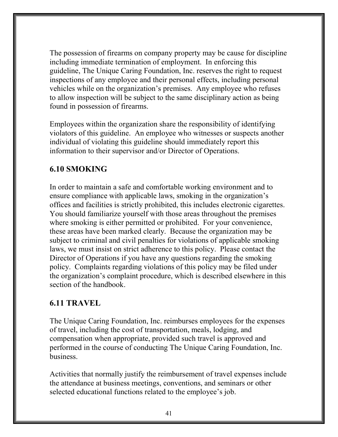The possession of firearms on company property may be cause for discipline including immediate termination of employment. In enforcing this guideline, The Unique Caring Foundation, Inc. reserves the right to request inspections of any employee and their personal effects, including personal vehicles while on the organization's premises. Any employee who refuses to allow inspection will be subject to the same disciplinary action as being found in possession of firearms.

Employees within the organization share the responsibility of identifying violators of this guideline. An employee who witnesses or suspects another individual of violating this guideline should immediately report this information to their supervisor and/or Director of Operations.

#### 6.10 SMOKING

In order to maintain a safe and comfortable working environment and to ensure compliance with applicable laws, smoking in the organization's offices and facilities is strictly prohibited, this includes electronic cigarettes. You should familiarize yourself with those areas throughout the premises where smoking is either permitted or prohibited. For your convenience, these areas have been marked clearly. Because the organization may be subject to criminal and civil penalties for violations of applicable smoking laws, we must insist on strict adherence to this policy. Please contact the Director of Operations if you have any questions regarding the smoking policy. Complaints regarding violations of this policy may be filed under the organization's complaint procedure, which is described elsewhere in this section of the handbook.

#### 6.11 TRAVEL

The Unique Caring Foundation, Inc. reimburses employees for the expenses of travel, including the cost of transportation, meals, lodging, and compensation when appropriate, provided such travel is approved and performed in the course of conducting The Unique Caring Foundation, Inc. business.

Activities that normally justify the reimbursement of travel expenses include the attendance at business meetings, conventions, and seminars or other selected educational functions related to the employee's job.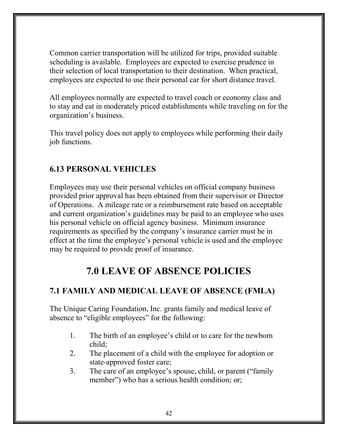Common carrier transportation will be utilized for trips, provided suitable scheduling is available. Employees are expected to exercise prudence in their selection of local transportation to their destination. When practical, employees are expected to use their personal car for short distance travel.

All employees normally are expected to travel coach or economy class and to stay and eat in moderately priced establishments while traveling on for the organization's business.

This travel policy does not apply to employees while performing their daily job functions.

#### 6.13 PERSONAL VEHICLES

Employees may use their personal vehicles on official company business provided prior approval has been obtained from their supervisor or Director of Operations. A mileage rate or a reimbursement rate based on acceptable and current organization's guidelines may be paid to an employee who uses his personal vehicle on official agency business. Minimum insurance requirements as specified by the company's insurance carrier must be in effect at the time the employee's personal vehicle is used and the employee may be required to provide proof of insurance.

# 7.0 LEAVE OF ABSENCE POLICIES

# 7.1 FAMILY AND MEDICAL LEAVE OF ABSENCE (FMLA)

The Unique Caring Foundation, Inc. grants family and medical leave of absence to "eligible employees" for the following:

- 1. The birth of an employee's child or to care for the newborn child;
- 2. The placement of a child with the employee for adoption or state-approved foster care;
- 3. The care of an employee's spouse, child, or parent ("family member") who has a serious health condition; or;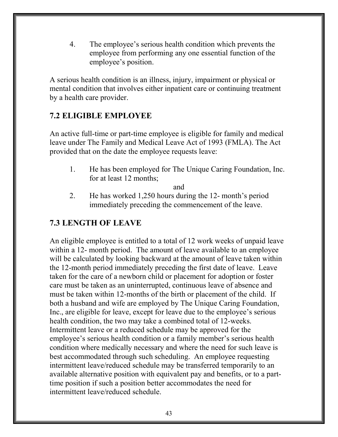4. The employee's serious health condition which prevents the employee from performing any one essential function of the employee's position.

A serious health condition is an illness, injury, impairment or physical or mental condition that involves either inpatient care or continuing treatment by a health care provider.

#### 7.2 ELIGIBLE EMPLOYEE

An active full-time or part-time employee is eligible for family and medical leave under The Family and Medical Leave Act of 1993 (FMLA). The Act provided that on the date the employee requests leave:

1. He has been employed for The Unique Caring Foundation, Inc. for at least 12 months;

and

2. He has worked 1,250 hours during the 12- month's period immediately preceding the commencement of the leave.

#### 7.3 LENGTH OF LEAVE

An eligible employee is entitled to a total of 12 work weeks of unpaid leave within a 12- month period. The amount of leave available to an employee will be calculated by looking backward at the amount of leave taken within the 12-month period immediately preceding the first date of leave. Leave taken for the care of a newborn child or placement for adoption or foster care must be taken as an uninterrupted, continuous leave of absence and must be taken within 12-months of the birth or placement of the child. If both a husband and wife are employed by The Unique Caring Foundation, Inc., are eligible for leave, except for leave due to the employee's serious health condition, the two may take a combined total of 12-weeks. Intermittent leave or a reduced schedule may be approved for the employee's serious health condition or a family member's serious health condition where medically necessary and where the need for such leave is best accommodated through such scheduling. An employee requesting intermittent leave/reduced schedule may be transferred temporarily to an available alternative position with equivalent pay and benefits, or to a parttime position if such a position better accommodates the need for intermittent leave/reduced schedule.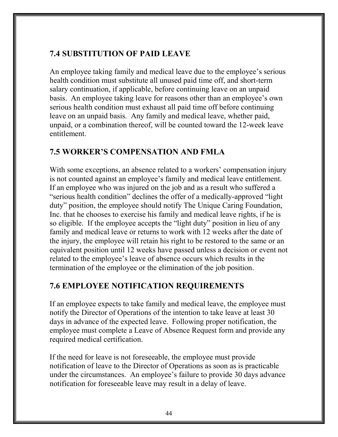#### 7.4 SUBSTITUTION OF PAID LEAVE

An employee taking family and medical leave due to the employee's serious health condition must substitute all unused paid time off, and short-term salary continuation, if applicable, before continuing leave on an unpaid basis. An employee taking leave for reasons other than an employee's own serious health condition must exhaust all paid time off before continuing leave on an unpaid basis. Any family and medical leave, whether paid, unpaid, or a combination thereof, will be counted toward the 12-week leave entitlement.

#### 7.5 WORKER'S COMPENSATION AND FMLA

With some exceptions, an absence related to a workers' compensation injury is not counted against an employee's family and medical leave entitlement. If an employee who was injured on the job and as a result who suffered a "serious health condition" declines the offer of a medically-approved "light duty" position, the employee should notify The Unique Caring Foundation, Inc. that he chooses to exercise his family and medical leave rights, if he is so eligible. If the employee accepts the "light duty" position in lieu of any family and medical leave or returns to work with 12 weeks after the date of the injury, the employee will retain his right to be restored to the same or an equivalent position until 12 weeks have passed unless a decision or event not related to the employee's leave of absence occurs which results in the termination of the employee or the elimination of the job position.

#### 7.6 EMPLOYEE NOTIFICATION REQUIREMENTS

If an employee expects to take family and medical leave, the employee must notify the Director of Operations of the intention to take leave at least 30 days in advance of the expected leave. Following proper notification, the employee must complete a Leave of Absence Request form and provide any required medical certification.

If the need for leave is not foreseeable, the employee must provide notification of leave to the Director of Operations as soon as is practicable under the circumstances. An employee's failure to provide 30 days advance notification for foreseeable leave may result in a delay of leave.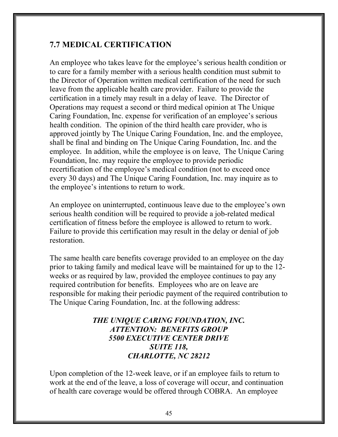#### 7.7 MEDICAL CERTIFICATION

An employee who takes leave for the employee's serious health condition or to care for a family member with a serious health condition must submit to the Director of Operation written medical certification of the need for such leave from the applicable health care provider. Failure to provide the certification in a timely may result in a delay of leave. The Director of Operations may request a second or third medical opinion at The Unique Caring Foundation, Inc. expense for verification of an employee's serious health condition. The opinion of the third health care provider, who is approved jointly by The Unique Caring Foundation, Inc. and the employee, shall be final and binding on The Unique Caring Foundation, Inc. and the employee. In addition, while the employee is on leave, The Unique Caring Foundation, Inc. may require the employee to provide periodic recertification of the employee's medical condition (not to exceed once every 30 days) and The Unique Caring Foundation, Inc. may inquire as to the employee's intentions to return to work.

An employee on uninterrupted, continuous leave due to the employee's own serious health condition will be required to provide a job-related medical certification of fitness before the employee is allowed to return to work. Failure to provide this certification may result in the delay or denial of job restoration.

The same health care benefits coverage provided to an employee on the day prior to taking family and medical leave will be maintained for up to the 12 weeks or as required by law, provided the employee continues to pay any required contribution for benefits. Employees who are on leave are responsible for making their periodic payment of the required contribution to The Unique Caring Foundation, Inc. at the following address:

#### THE UNIQUE CARING FOUNDATION, INC. ATTENTION: BENEFITS GROUP 5500 EXECUTIVE CENTER DRIVE SUITE 118, CHARLOTTE, NC 28212

Upon completion of the 12-week leave, or if an employee fails to return to work at the end of the leave, a loss of coverage will occur, and continuation of health care coverage would be offered through COBRA. An employee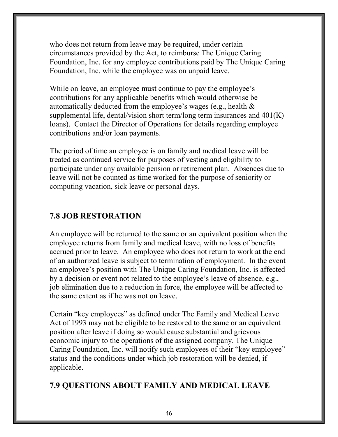who does not return from leave may be required, under certain circumstances provided by the Act, to reimburse The Unique Caring Foundation, Inc. for any employee contributions paid by The Unique Caring Foundation, Inc. while the employee was on unpaid leave.

While on leave, an employee must continue to pay the employee's contributions for any applicable benefits which would otherwise be automatically deducted from the employee's wages (e.g., health & supplemental life, dental/vision short term/long term insurances and  $401(K)$ loans). Contact the Director of Operations for details regarding employee contributions and/or loan payments.

The period of time an employee is on family and medical leave will be treated as continued service for purposes of vesting and eligibility to participate under any available pension or retirement plan. Absences due to leave will not be counted as time worked for the purpose of seniority or computing vacation, sick leave or personal days.

#### 7.8 JOB RESTORATION

An employee will be returned to the same or an equivalent position when the employee returns from family and medical leave, with no loss of benefits accrued prior to leave. An employee who does not return to work at the end of an authorized leave is subject to termination of employment. In the event an employee's position with The Unique Caring Foundation, Inc. is affected by a decision or event not related to the employee's leave of absence, e.g., job elimination due to a reduction in force, the employee will be affected to the same extent as if he was not on leave.

Certain "key employees" as defined under The Family and Medical Leave Act of 1993 may not be eligible to be restored to the same or an equivalent position after leave if doing so would cause substantial and grievous economic injury to the operations of the assigned company. The Unique Caring Foundation, Inc. will notify such employees of their "key employee" status and the conditions under which job restoration will be denied, if applicable.

#### 7.9 QUESTIONS ABOUT FAMILY AND MEDICAL LEAVE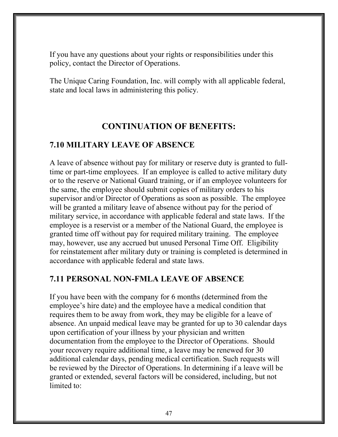If you have any questions about your rights or responsibilities under this policy, contact the Director of Operations.

The Unique Caring Foundation, Inc. will comply with all applicable federal, state and local laws in administering this policy.

#### CONTINUATION OF BENEFITS:

#### 7.10 MILITARY LEAVE OF ABSENCE

A leave of absence without pay for military or reserve duty is granted to fulltime or part-time employees. If an employee is called to active military duty or to the reserve or National Guard training, or if an employee volunteers for the same, the employee should submit copies of military orders to his supervisor and/or Director of Operations as soon as possible. The employee will be granted a military leave of absence without pay for the period of military service, in accordance with applicable federal and state laws. If the employee is a reservist or a member of the National Guard, the employee is granted time off without pay for required military training. The employee may, however, use any accrued but unused Personal Time Off. Eligibility for reinstatement after military duty or training is completed is determined in accordance with applicable federal and state laws.

#### 7.11 PERSONAL NON-FMLA LEAVE OF ABSENCE

If you have been with the company for 6 months (determined from the employee's hire date) and the employee have a medical condition that requires them to be away from work, they may be eligible for a leave of absence. An unpaid medical leave may be granted for up to 30 calendar days upon certification of your illness by your physician and written documentation from the employee to the Director of Operations. Should your recovery require additional time, a leave may be renewed for 30 additional calendar days, pending medical certification. Such requests will be reviewed by the Director of Operations. In determining if a leave will be granted or extended, several factors will be considered, including, but not limited to: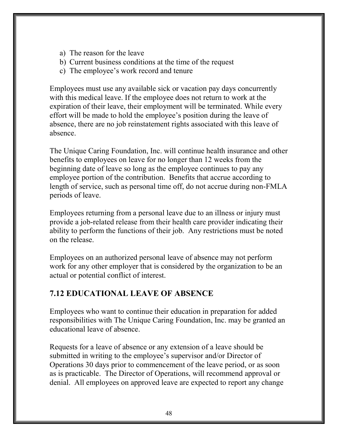- a) The reason for the leave
- b) Current business conditions at the time of the request
- c) The employee's work record and tenure

Employees must use any available sick or vacation pay days concurrently with this medical leave. If the employee does not return to work at the expiration of their leave, their employment will be terminated. While every effort will be made to hold the employee's position during the leave of absence, there are no job reinstatement rights associated with this leave of absence.

The Unique Caring Foundation, Inc. will continue health insurance and other benefits to employees on leave for no longer than 12 weeks from the beginning date of leave so long as the employee continues to pay any employee portion of the contribution. Benefits that accrue according to length of service, such as personal time off, do not accrue during non-FMLA periods of leave.

Employees returning from a personal leave due to an illness or injury must provide a job-related release from their health care provider indicating their ability to perform the functions of their job. Any restrictions must be noted on the release.

Employees on an authorized personal leave of absence may not perform work for any other employer that is considered by the organization to be an actual or potential conflict of interest.

# 7.12 EDUCATIONAL LEAVE OF ABSENCE

Employees who want to continue their education in preparation for added responsibilities with The Unique Caring Foundation, Inc. may be granted an educational leave of absence.

Requests for a leave of absence or any extension of a leave should be submitted in writing to the employee's supervisor and/or Director of Operations 30 days prior to commencement of the leave period, or as soon as is practicable. The Director of Operations, will recommend approval or denial. All employees on approved leave are expected to report any change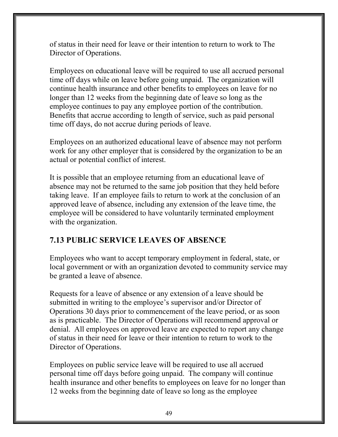of status in their need for leave or their intention to return to work to The Director of Operations.

Employees on educational leave will be required to use all accrued personal time off days while on leave before going unpaid. The organization will continue health insurance and other benefits to employees on leave for no longer than 12 weeks from the beginning date of leave so long as the employee continues to pay any employee portion of the contribution. Benefits that accrue according to length of service, such as paid personal time off days, do not accrue during periods of leave.

Employees on an authorized educational leave of absence may not perform work for any other employer that is considered by the organization to be an actual or potential conflict of interest.

It is possible that an employee returning from an educational leave of absence may not be returned to the same job position that they held before taking leave. If an employee fails to return to work at the conclusion of an approved leave of absence, including any extension of the leave time, the employee will be considered to have voluntarily terminated employment with the organization.

# 7.13 PUBLIC SERVICE LEAVES OF ABSENCE

Employees who want to accept temporary employment in federal, state, or local government or with an organization devoted to community service may be granted a leave of absence.

Requests for a leave of absence or any extension of a leave should be submitted in writing to the employee's supervisor and/or Director of Operations 30 days prior to commencement of the leave period, or as soon as is practicable. The Director of Operations will recommend approval or denial. All employees on approved leave are expected to report any change of status in their need for leave or their intention to return to work to the Director of Operations.

Employees on public service leave will be required to use all accrued personal time off days before going unpaid. The company will continue health insurance and other benefits to employees on leave for no longer than 12 weeks from the beginning date of leave so long as the employee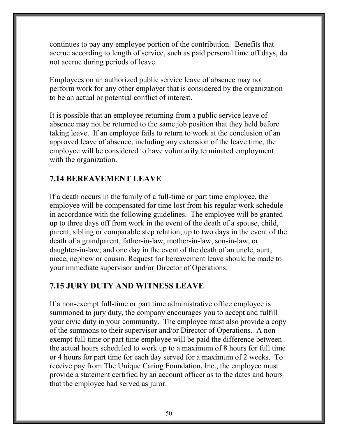continues to pay any employee portion of the contribution. Benefits that accrue according to length of service, such as paid personal time off days, do not accrue during periods of leave.

Employees on an authorized public service leave of absence may not perform work for any other employer that is considered by the organization to be an actual or potential conflict of interest.

It is possible that an employee returning from a public service leave of absence may not be returned to the same job position that they held before taking leave. If an employee fails to return to work at the conclusion of an approved leave of absence, including any extension of the leave time, the employee will be considered to have voluntarily terminated employment with the organization.

# 7.14 BEREAVEMENT LEAVE

If a death occurs in the family of a full-time or part time employee, the employee will be compensated for time lost from his regular work schedule in accordance with the following guidelines. The employee will be granted up to three days off from work in the event of the death of a spouse, child, parent, sibling or comparable step relation; up to two days in the event of the death of a grandparent, father-in-law, mother-in-law, son-in-law, or daughter-in-law; and one day in the event of the death of an uncle, aunt, niece, nephew or cousin. Request for bereavement leave should be made to your immediate supervisor and/or Director of Operations.

# 7.15 JURY DUTY AND WITNESS LEAVE

If a non-exempt full-time or part time administrative office employee is summoned to jury duty, the company encourages you to accept and fulfill your civic duty in your community. The employee must also provide a copy of the summons to their supervisor and/or Director of Operations. A nonexempt full-time or part time employee will be paid the difference between the actual hours scheduled to work up to a maximum of 8 hours for full time or 4 hours for part time for each day served for a maximum of 2 weeks. To receive pay from The Unique Caring Foundation, Inc., the employee must provide a statement certified by an account officer as to the dates and hours that the employee had served as juror.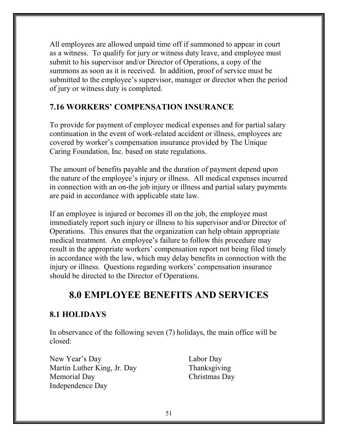All employees are allowed unpaid time off if summoned to appear in court as a witness. To qualify for jury or witness duty leave, and employee must submit to his supervisor and/or Director of Operations, a copy of the summons as soon as it is received. In addition, proof of service must be submitted to the employee's supervisor, manager or director when the period of jury or witness duty is completed.

#### 7.16 WORKERS' COMPENSATION INSURANCE

To provide for payment of employee medical expenses and for partial salary continuation in the event of work-related accident or illness, employees are covered by worker's compensation insurance provided by The Unique Caring Foundation, Inc. based on state regulations.

The amount of benefits payable and the duration of payment depend upon the nature of the employee's injury or illness. All medical expenses incurred in connection with an on-the job injury or illness and partial salary payments are paid in accordance with applicable state law.

If an employee is injured or becomes ill on the job, the employee must immediately report such injury or illness to his supervisor and/or Director of Operations. This ensures that the organization can help obtain appropriate medical treatment. An employee's failure to follow this procedure may result in the appropriate workers' compensation report not being filed timely in accordance with the law, which may delay benefits in connection with the injury or illness. Questions regarding workers' compensation insurance should be directed to the Director of Operations.

# 8.0 EMPLOYEE BENEFITS AND SERVICES

# 8.1 HOLIDAYS

In observance of the following seven (7) holidays, the main office will be closed:

New Year's Day Labor Day Martin Luther King, Jr. Day Thanksgiving Memorial Day Christmas Day Independence Day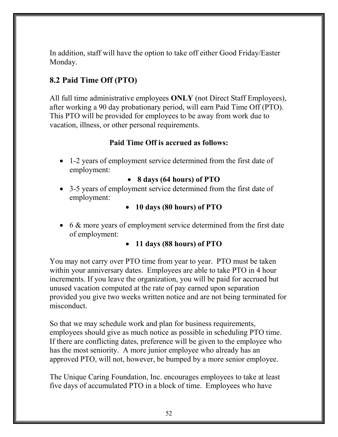In addition, staff will have the option to take off either Good Friday/Easter Monday.

# 8.2 Paid Time Off (PTO)

All full time administrative employees **ONLY** (not Direct Staff Employees), after working a 90 day probationary period, will earn Paid Time Off (PTO). This PTO will be provided for employees to be away from work due to vacation, illness, or other personal requirements.

#### Paid Time Off is accrued as follows:

• 1-2 years of employment service determined from the first date of employment:

#### 8 days (64 hours) of PTO

- 3-5 years of employment service determined from the first date of employment:
	- 10 days (80 hours) of PTO
- 6 & more years of employment service determined from the first date of employment:

#### • 11 days (88 hours) of PTO

You may not carry over PTO time from year to year. PTO must be taken within your anniversary dates. Employees are able to take PTO in 4 hour increments. If you leave the organization, you will be paid for accrued but unused vacation computed at the rate of pay earned upon separation provided you give two weeks written notice and are not being terminated for misconduct.

So that we may schedule work and plan for business requirements, employees should give as much notice as possible in scheduling PTO time. If there are conflicting dates, preference will be given to the employee who has the most seniority. A more junior employee who already has an approved PTO, will not, however, be bumped by a more senior employee.

The Unique Caring Foundation, Inc. encourages employees to take at least five days of accumulated PTO in a block of time. Employees who have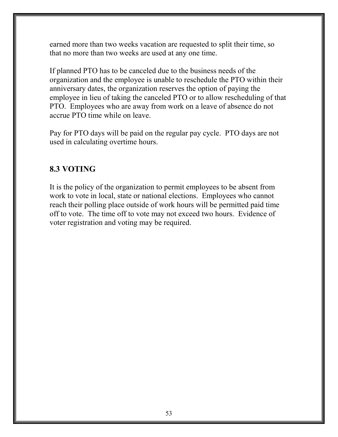earned more than two weeks vacation are requested to split their time, so that no more than two weeks are used at any one time.

If planned PTO has to be canceled due to the business needs of the organization and the employee is unable to reschedule the PTO within their anniversary dates, the organization reserves the option of paying the employee in lieu of taking the canceled PTO or to allow rescheduling of that PTO. Employees who are away from work on a leave of absence do not accrue PTO time while on leave.

Pay for PTO days will be paid on the regular pay cycle. PTO days are not used in calculating overtime hours.

# 8.3 VOTING

It is the policy of the organization to permit employees to be absent from work to vote in local, state or national elections. Employees who cannot reach their polling place outside of work hours will be permitted paid time off to vote. The time off to vote may not exceed two hours. Evidence of voter registration and voting may be required.